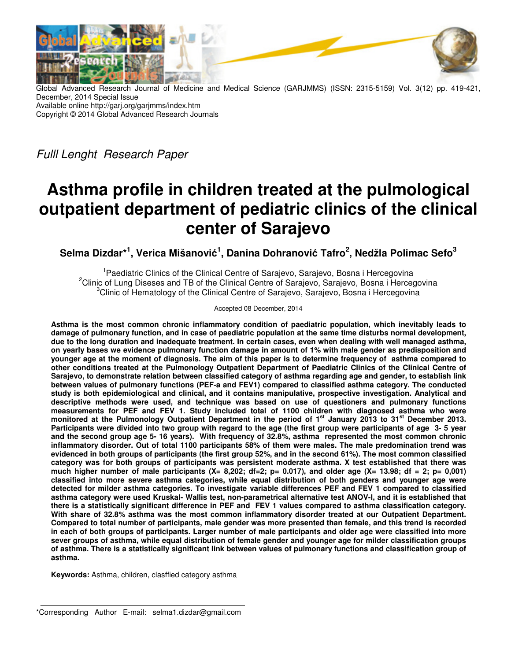

Global Advanced Research Journal of Medicine and Medical Science (GARJMMS) (ISSN: 2315-5159) Vol. 3(12) pp. 419-421, December, 2014 Special Issue Available online http://garj.org/garjmms/index.htm Copyright © 2014 Global Advanced Research Journals

Fulll Lenght Research Paper

# **Asthma profile in children treated at the pulmological outpatient department of pediatric clinics of the clinical center of Sarajevo**

**Selma Dizdar\*<sup>1</sup> , Verica Mišanović 1 , Danina Dohranović Tafro<sup>2</sup> , Nedžla Polimac Sefo<sup>3</sup>**

<sup>1</sup> Paediatric Clinics of the Clinical Centre of Sarajevo, Sarajevo, Bosna i Hercegovina <sup>2</sup>Clinic of Lung Diseses and TB of the Clinical Centre of Sarajevo, Sarajevo, Bosna i Hercegovina <sup>3</sup>Clinic of Hematology of the Clinical Centre of Sarajevo, Sarajevo, Bosna i Hercegovina

Accepted 08 December, 2014

**Asthma is the most common chronic inflammatory condition of paediatric population, which inevitably leads to damage of pulmonary function, and in case of paediatric population at the same time disturbs normal development, due to the long duration and inadequate treatment. In certain cases, even when dealing with well managed asthma, on yearly bases we evidence pulmonary function damage in amount of 1% with male gender as predisposition and younger age at the moment of diagnosis. The aim of this paper is to determine frequency of asthma compared to other conditions treated at the Pulmonology Outpatient Department of Paediatric Clinics of the Clinical Centre of Sarajevo, to demonstrate relation between classified category of asthma regarding age and gender, to establish link between values of pulmonary functions (PEF-a and FEV1) compared to classified asthma category. The conducted study is both epidemiological and clinical, and it contains manipulative, prospective investigation. Analytical and descriptive methods were used, and technique was based on use of questioners and pulmonary functions measurements for PEF and FEV 1. Study included total of 1100 children with diagnosed asthma who were monitored at the Pulmonology Outpatient Department in the period of 1st January 2013 to 31st December 2013. Participants were divided into two group with regard to the age (the first group were participants of age 3- 5 year and the second group age 5- 16 years). With frequency of 32.8%, asthma represented the most common chronic inflammatory disorder. Out of total 1100 participants 58% of them were males. The male predomination trend was evidenced in both groups of participants (the first group 52%, and in the second 61%). The most common classified category was for both groups of participants was persistent moderate asthma. X test established that there was much higher number of male participants (X= 8,202; df=2; p= 0.017), and older age (X= 13.98; df = 2; p= 0,001) classified into more severe asthma categories, while equal distribution of both genders and younger age were detected for milder asthma categories. To investigate variable differences PEF and FEV 1 compared to classified asthma category were used Kruskal- Wallis test, non-parametrical alternative test ANOV-I, and it is established that there is a statistically significant difference in PEF and FEV 1 values compared to asthma classification category. With share of 32.8% asthma was the most common inflammatory disorder treated at our Outpatient Department. Compared to total number of participants, male gender was more presented than female, and this trend is recorded in each of both groups of participants. Larger number of male participants and older age were classified into more sever groups of asthma, while equal distribution of female gender and younger age for milder classification groups of asthma. There is a statistically significant link between values of pulmonary functions and classification group of asthma.** 

**Keywords:** Asthma, children, clasffied category asthma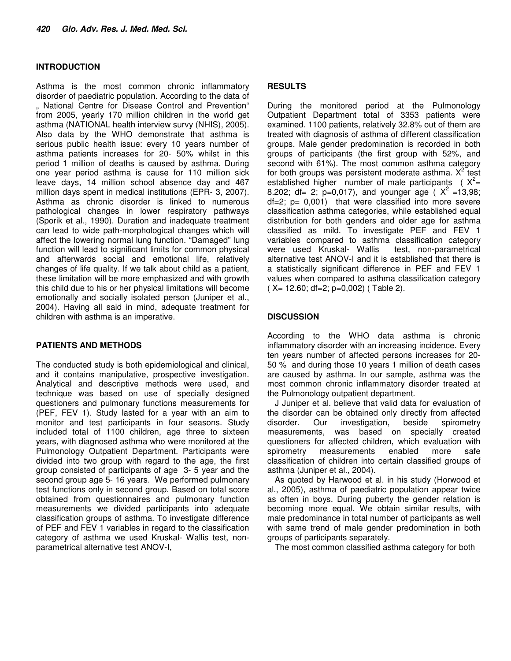#### **INTRODUCTION**

Asthma is the most common chronic inflammatory disorder of paediatric population. According to the data of .. National Centre for Disease Control and Prevention" from 2005, yearly 170 million children in the world get asthma (NATIONAL health interview survy (NHIS), 2005). Also data by the WHO demonstrate that asthma is serious public health issue: every 10 years number of asthma patients increases for 20- 50% whilst in this period 1 million of deaths is caused by asthma. During one year period asthma is cause for 110 million sick leave days, 14 million school absence day and 467 million days spent in medical institutions (EPR- 3, 2007). Asthma as chronic disorder is linked to numerous pathological changes in lower respiratory pathways (Sporik et al., 1990). Duration and inadequate treatment can lead to wide path-morphological changes which will affect the lowering normal lung function. "Damaged" lung function will lead to significant limits for common physical and afterwards social and emotional life, relatively changes of life quality. If we talk about child as a patient, these limitation will be more emphasized and with growth this child due to his or her physical limitations will become emotionally and socially isolated person (Juniper et al., 2004). Having all said in mind, adequate treatment for children with asthma is an imperative.

## **PATIENTS AND METHODS**

The conducted study is both epidemiological and clinical, and it contains manipulative, prospective investigation. Analytical and descriptive methods were used, and technique was based on use of specially designed questioners and pulmonary functions measurements for (PEF, FEV 1). Study lasted for a year with an aim to monitor and test participants in four seasons. Study included total of 1100 children, age three to sixteen years, with diagnosed asthma who were monitored at the Pulmonology Outpatient Department. Participants were divided into two group with regard to the age, the first group consisted of participants of age 3- 5 year and the second group age 5- 16 years. We performed pulmonary test functions only in second group. Based on total score obtained from questionnaires and pulmonary function measurements we divided participants into adequate classification groups of asthma. To investigate difference of PEF and FEV 1 variables in regard to the classification category of asthma we used Kruskal- Wallis test, nonparametrical alternative test ANOV-I,

# **RESULTS**

During the monitored period at the Pulmonology Outpatient Department total of 3353 patients were examined. 1100 patients, relatively 32.8% out of them are treated with diagnosis of asthma of different classification groups. Male gender predomination is recorded in both groups of participants (the first group with 52%, and second with 61%). The most common asthma category for both groups was persistent moderate asthma.  $X^2$  test established higher number of male participants ( $X^2 =$ 8.202; df= 2; p=0,017), and younger age ( $X^2$ =13,98;  $df=2$ ;  $p= 0,001$ ) that were classified into more severe classification asthma categories, while established equal distribution for both genders and older age for asthma classified as mild. To investigate PEF and FEV 1 variables compared to asthma classification category were used Kruskal- Wallis test, non-parametrical alternative test ANOV-I and it is established that there is a statistically significant difference in PEF and FEV 1 values when compared to asthma classification category ( X= 12.60; df=2; p=0,002) ( Table 2).

# **DISCUSSION**

According to the WHO data asthma is chronic inflammatory disorder with an increasing incidence. Every ten years number of affected persons increases for 20- 50 % and during those 10 years 1 million of death cases are caused by asthma. In our sample, asthma was the most common chronic inflammatory disorder treated at the Pulmonology outpatient department.

J Juniper et al. believe that valid data for evaluation of the disorder can be obtained only directly from affected disorder. Our investigation, beside spirometry measurements, was based on specially created questioners for affected children, which evaluation with spirometry measurements enabled more safe classification of children into certain classified groups of asthma (Juniper et al., 2004).

As quoted by Harwood et al. in his study (Horwood et al., 2005), asthma of paediatric population appear twice as often in boys. During puberty the gender relation is becoming more equal. We obtain similar results, with male predominance in total number of participants as well with same trend of male gender predomination in both groups of participants separately.

The most common classified asthma category for both